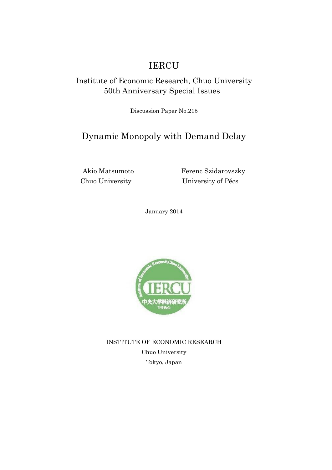# IERCU

### Institute of Economic Research, Chuo University 50th Anniversary Special Issues

Discussion Paper No.215

## Dynamic Monopoly with Demand Delay

Akio Matsumoto Ferenc Szidarovszky Chuo University University of Pécs

January 2014



INSTITUTE OF ECONOMIC RESEARCH Chuo University Tokyo, Japan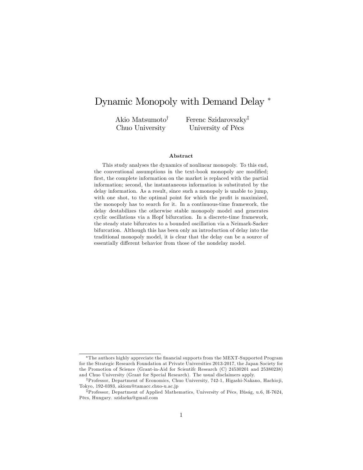### Dynamic Monopoly with Demand Delay

Akio Matsumoto<sup>†</sup> Chuo University

Ferenc Szidarovszky<sup>†</sup> University of Pécs

#### Abstract

This study analyses the dynamics of nonlinear monopoly. To this end, the conventional assumptions in the text-book monopoly are modified; first, the complete information on the market is replaced with the partial information; second, the instantaneous information is substituted by the delay information. As a result, since such a monopoly is unable to jump, with one shot, to the optimal point for which the profit is maximized, the monopoly has to search for it. In a continuous-time framework, the delay destabilizes the otherwise stable monopoly model and generates cyclic oscillations via a Hopf bifurcation. In a discrete-time framework, the steady state bifurcates to a bounded oscillation via a Neimark-Sacker bifurcation. Although this has been only an introduction of delay into the traditional monopoly model, it is clear that the delay can be a source of essentially different behavior from those of the nondelay model.

The authors highly appreciate the Önancial supports from the MEXT-Supported Program for the Strategic Research Foundation at Private Universities 2013-2017, the Japan Society for the Promotion of Science (Grant-in-Aid for Scientifc Research (C) 24530201 and 25380238) and Chuo University (Grant for Special Research). The usual disclaimers apply.

<sup>&</sup>lt;sup>†</sup>Professor, Department of Economics, Chuo University, 742-1, Higashi-Nakano, Hachioji, Tokyo, 192-0393, akiom@tamacc.chuo-u.ac.jp

<sup>&</sup>lt;sup>‡</sup>Professor, Department of Applied Mathematics, University of Pécs, Ifúság, u.6, H-7624, PÈcs, Hungary. szidarka@gmail.com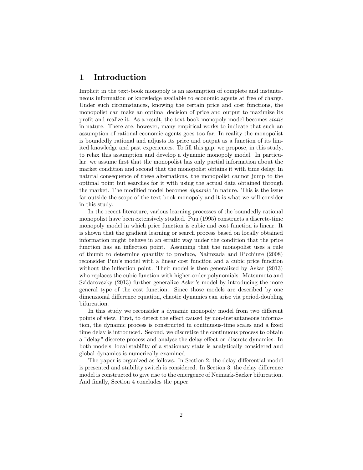#### 1 Introduction

Implicit in the text-book monopoly is an assumption of complete and instantaneous information or knowledge available to economic agents at free of charge. Under such circumstances, knowing the certain price and cost functions, the monopolist can make an optimal decision of price and output to maximize its profit and realize it. As a result, the text-book monopoly model becomes *static* in nature. There are, however, many empirical works to indicate that such an assumption of rational economic agents goes too far. In reality the monopolist is boundedly rational and adjusts its price and output as a function of its limited knowledge and past experiences. To fill this gap, we propose, in this study, to relax this assumption and develop a dynamic monopoly model. In particular, we assume first that the monopolist has only partial information about the market condition and second that the monopolist obtains it with time delay. In natural consequence of these alternations, the monopolist cannot jump to the optimal point but searches for it with using the actual data obtained through the market. The modified model becomes *dynamic* in nature. This is the issue far outside the scope of the text book monopoly and it is what we will consider in this study.

In the recent literature, various learning processes of the boundedly rational monopolist have been extensively studied. Puu (1995) constructs a discrete-time monopoly model in which price function is cubic and cost function is linear. It is shown that the gradient learning or search process based on locally obtained information might behave in an erratic way under the condition that the price function has an inflection point. Assuming that the monopolist uses a rule of thumb to determine quantity to produce, Naimzada and Ricchiute (2008) reconsider Puuís model with a linear cost function and a cubic price function without the inflection point. Their model is then generalized by Askar (2013) who replaces the cubic function with higher-order polynomials. Matsumoto and Szidarovszky (2013) further generalize Asker's model by introducing the more general type of the cost function. Since those models are described by one dimensional difference equation, chaotic dynamics can arise via period-doubling bifurcation.

In this study we reconsider a dynamic monopoly model from two different points of view. First, to detect the effect caused by non-instantaneous information, the dynamic process is constructed in continuous-time scales and a fixed time delay is introduced. Second, we discretize the continuous process to obtain a "delay" discrete process and analyse the delay effect on discrete dynamics. In both models, local stability of a stationary state is analytically considered and global dynamics is numerically examined.

The paper is organized as follows. In Section 2, the delay differential model is presented and stability switch is considered. In Section 3, the delay difference model is constructed to give rise to the emergence of Neimark-Sacker bifurcation. And finally, Section 4 concludes the paper.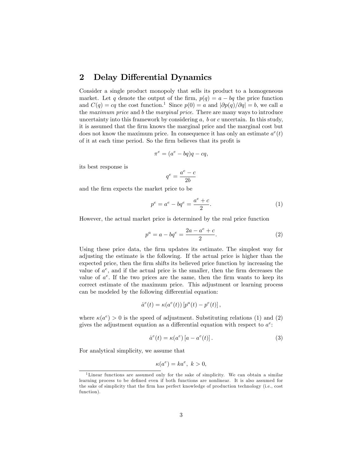#### 2 Delay Differential Dynamics

Consider a single product monopoly that sells its product to a homogeneous market. Let q denote the output of the firm,  $p(q) = a - bq$  the price function and  $C(q) = cq$  the cost function.<sup>1</sup> Since  $p(0) = a$  and  $|\partial p(q)/\partial q| = b$ , we call a the maximum price and b the marginal price. There are many ways to introduce uncertainty into this framework by considering  $a, b$  or  $c$  uncertain. In this study, it is assumed that the firm knows the marginal price and the marginal cost but does not know the maximum price. In consequence it has only an estimate  $a^e(t)$ of it at each time period. So the firm believes that its profit is

$$
\pi^e = (a^e - bq)q - cq,
$$

its best response is

$$
q^e = \frac{a^e - c}{2b}
$$

and the firm expects the market price to be

$$
p^{e} = a^{e} - bq^{e} = \frac{a^{e} + c}{2}.
$$
 (1)

However, the actual market price is determined by the real price function

$$
p^{a} = a - bq^{e} = \frac{2a - a^{e} + c}{2}.
$$
 (2)

Using these price data, the firm updates its estimate. The simplest way for adjusting the estimate is the following. If the actual price is higher than the expected price, then the firm shifts its believed price function by increasing the value of  $a^e$ , and if the actual price is the smaller, then the firm decreases the value of  $a^e$ . If the two prices are the same, then the firm wants to keep its correct estimate of the maximum price. This adjustment or learning process can be modeled by the following differential equation:

$$
\dot{a}^e(t) = \kappa(a^e(t)) \left[ p^a(t) - p^e(t) \right],
$$

where  $\kappa(a^e) > 0$  is the speed of adjustment. Substituting relations (1) and (2) gives the adjustment equation as a differential equation with respect to  $a^e$ :

$$
\dot{a}^e(t) = \kappa(a^e) \left[ a - a^e(t) \right]. \tag{3}
$$

For analytical simplicity, we assume that

$$
\kappa(a^e) = ka^e, \ k > 0,
$$

<sup>1</sup>Linear functions are assumed only for the sake of simplicity. We can obtain a similar learning process to be defined even if both functions are nonlinear. It is also assumed for the sake of simplicity that the firm has perfect knowledge of production technology (i.e., cost function).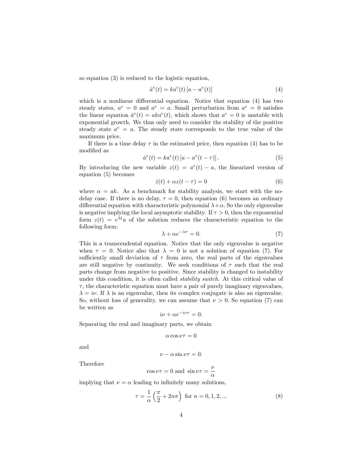so equation (3) is reduced to the logistic equation,

$$
\dot{a}^e(t) = ka^e(t) \left[ a - a^e(t) \right] \tag{4}
$$

which is a nonlinear differential equation. Notice that equation  $(4)$  has two steady states,  $a^e = 0$  and  $a^e = a$ . Small perturbation from  $a^e = 0$  satisfies the linear equation  $\dot{a}^e(t) = aka^e(t)$ , which shows that  $a^e = 0$  is unstable with exponential growth. We thus only need to consider the stability of the positive steady state  $a^e = a$ . The steady state corresponds to the true value of the maximum price.

If there is a time delay  $\tau$  in the estimated price, then equation (4) has to be modified as

$$
\dot{a}^e(t) = ka^e(t) \left[ a - a^e(t - \tau) \right]. \tag{5}
$$

By introducing the new variable  $z(t) = a^e(t) - a$ , the linearized version of equation (5) becomes

$$
\dot{z}(t) + \alpha z(t - \tau) = 0 \tag{6}
$$

where  $\alpha = ak$ . As a benchmark for stability analysis, we start with the nodelay case. If there is no delay,  $\tau = 0$ , then equation (6) becomes an ordinary differential equation with characteristic polynomial  $\lambda + \alpha$ . So the only eigenvalue is negative implying the local asymptotic stability. If  $\tau > 0$ , then the exponential form  $z(t) = e^{\lambda t}u$  of the solution reduces the characteristic equation to the following form:

$$
\lambda + \alpha e^{-\lambda \tau} = 0. \tag{7}
$$

This is a transcendental equation. Notice that the only eigenvalue is negative when  $\tau = 0$ . Notice also that  $\lambda = 0$  is not a solution of equation (7). For sufficiently small deviation of  $\tau$  from zero, the real parts of the eigenvalues are still negative by continuity. We seek conditions of  $\tau$  such that the real parts change from negative to positive. Since stability is changed to instability under this condition, it is often called *stability switch*. At this critical value of  $\tau$ , the characteristic equation must have a pair of purely imaginary eigenvalues,  $\lambda = i\nu$ . If  $\lambda$  is an eigenvalue, then its complex conjugate is also an eigenvalue. So, without loss of generality, we can assume that  $\nu > 0$ . So equation (7) can be written as

$$
i\nu + \alpha e^{-i\nu\tau} = 0.
$$

Separating the real and imaginary parts, we obtain

$$
\alpha \cos \nu \tau = 0
$$

and

$$
\nu - \alpha \sin \nu \tau = 0.
$$

Therefore

$$
\cos \nu \tau = 0
$$
 and  $\sin \nu \tau = \frac{\nu}{\alpha}$ 

implying that  $\nu = \alpha$  leading to infinitely many solutions,

$$
\tau = \frac{1}{\alpha} \left( \frac{\pi}{2} + 2n\pi \right) \text{ for } n = 0, 1, 2, ... \tag{8}
$$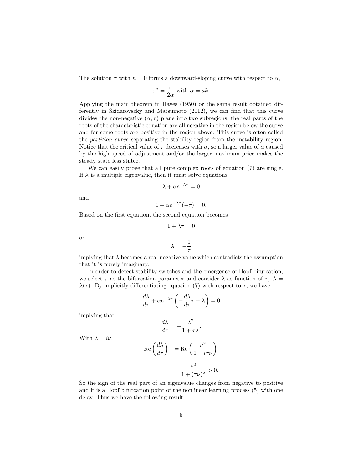The solution  $\tau$  with  $n = 0$  forms a downward-sloping curve with respect to  $\alpha$ ,

$$
\tau^* = \frac{\pi}{2\alpha} \text{ with } \alpha = ak.
$$

Applying the main theorem in Hayes (1950) or the same result obtained differently in Szidarovszky and Matsumoto  $(2012)$ , we can find that this curve divides the non-negative  $(\alpha, \tau)$  plane into two subregions; the real parts of the roots of the characteristic equation are all negative in the region below the curve and for some roots are positive in the region above. This curve is often called the partition curve separating the stability region from the instability region. Notice that the critical value of  $\tau$  decreases with  $\alpha$ , so a larger value of  $\alpha$  caused by the high speed of adjustment and/or the larger maximum price makes the steady state less stable.

We can easily prove that all pure complex roots of equation (7) are single. If  $\lambda$  is a multiple eigenvalue, then it must solve equations

$$
\lambda + \alpha e^{-\lambda \tau} = 0
$$

and

$$
1 + \alpha e^{-\lambda \tau}(-\tau) = 0.
$$

Based on the first equation, the second equation becomes

$$
1 + \lambda \tau = 0
$$

or

$$
\lambda=-\frac{1}{\tau}
$$

implying that  $\lambda$  becomes a real negative value which contradicts the assumption that it is purely imaginary.

In order to detect stability switches and the emergence of Hopf bifurcation, we select  $\tau$  as the bifurcation parameter and consider  $\lambda$  as function of  $\tau$ ,  $\lambda =$  $\lambda(\tau)$ . By implicitly differentiating equation (7) with respect to  $\tau$ , we have

$$
\frac{d\lambda}{d\tau} + \alpha e^{-\lambda \tau} \left( -\frac{d\lambda}{d\tau} \tau - \lambda \right) = 0
$$

implying that

$$
\frac{d\lambda}{d\tau} = -\frac{\lambda^2}{1+\tau\lambda}.
$$

With  $\lambda = i\nu$ ,

$$
\operatorname{Re}\left(\frac{d\lambda}{d\tau}\right) = \operatorname{Re}\left(\frac{\nu^2}{1 + i\tau\nu}\right)
$$

$$
= \frac{\nu^2}{1 + (\tau\nu)^2} > 0.
$$

So the sign of the real part of an eigenvalue changes from negative to positive and it is a Hopf bifurcation point of the nonlinear learning process (5) with one delay. Thus we have the following result.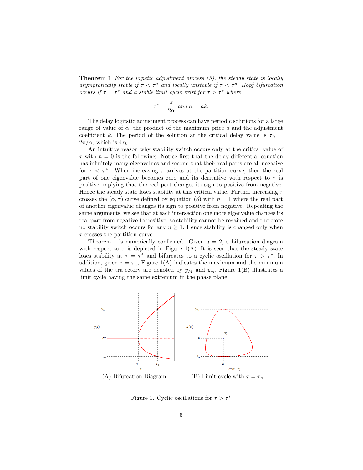**Theorem 1** For the logistic adjustment process  $(5)$ , the steady state is locally asymptotically stable if  $\tau < \tau^*$  and locally unstable if  $\tau < \tau^s$ . Hopf bifurcation occurs if  $\tau = \tau^*$  and a stable limit cycle exist for  $\tau > \tau^*$  where

$$
\tau^* = \frac{\pi}{2\alpha} \text{ and } \alpha = ak.
$$

The delay logitstic adjustment process can have periodic solutions for a large range of value of  $\alpha$ , the product of the maximum price a and the adjustment coefficient k. The period of the solution at the critical delay value is  $\tau_0 =$  $2\pi/\alpha$ , which is  $4\tau_0$ .

An intuitive reason why stability switch occurs only at the critical value of  $\tau$  with  $n = 0$  is the following. Notice first that the delay differential equation has infinitely many eigenvalues and second that their real parts are all negative for  $\tau < \tau^*$ . When increasing  $\tau$  arrives at the partition curve, then the real part of one eigenvalue becomes zero and its derivative with respect to  $\tau$  is positive implying that the real part changes its sign to positive from negative. Hence the steady state loses stability at this critical value. Further increasing  $\tau$ crosses the  $(\alpha, \tau)$  curve defined by equation (8) with  $n = 1$  where the real part of another eigenvalue changes its sign to positive from negative. Repeating the same arguments, we see that at each intersection one more eigenvalue changes its real part from negative to positive, so stability cannot be regained and therefore no stability switch occurs for any  $n \geq 1$ . Hence stability is changed only when  $\tau$  crosses the partition curve.

Theorem 1 is numerically confirmed. Given  $a = 2$ , a bifurcation diagram with respect to  $\tau$  is depicted in Figure 1(A). It is seen that the steady state loses stability at  $\tau = \tau^*$  and bifurcates to a cyclic oscillation for  $\tau > \tau^*$ . In addition, given  $\tau = \tau_a$ , Figure 1(A) indicates the maximum and the minimum values of the trajectory are denoted by  $y_M$  and  $y_m$ . Figure 1(B) illustrates a limit cycle having the same extremum in the phase plane.



Figure 1. Cyclic oscillations for  $\tau > \tau^*$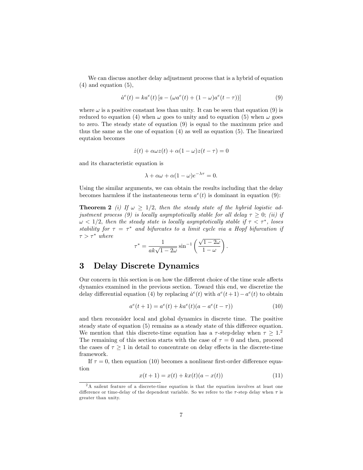We can discuss another delay adjustment process that is a hybrid of equation (4) and equation (5),

$$
\dot{a}^{e}(t) = ka^{e}(t) [a - (\omega a^{e}(t) + (1 - \omega)a^{e}(t - \tau))]
$$
\n(9)

where  $\omega$  is a positive constant less than unity. It can be seen that equation (9) is reduced to equation (4) when  $\omega$  goes to unity and to equation (5) when  $\omega$  goes to zero. The steady state of equation (9) is equal to the maximum price and thus the same as the one of equation (4) as well as equation (5). The linearized equtaion becomes

$$
\dot{z}(t) + \alpha \omega z(t) + \alpha (1 - \omega) z(t - \tau) = 0
$$

and its characteristic equation is

$$
\lambda + \alpha \omega + \alpha (1 - \omega) e^{-\lambda \tau} = 0.
$$

Using the similar arguments, we can obtain the results including that the delay becomes harmless if the instanteneous term  $a^e(t)$  is dominant in equation (9):

**Theorem 2** (i) If  $\omega \geq 1/2$ , then the steady state of the hybrid logistic adjustment process (9) is locally asymptotically stable for all delay  $\tau \geq 0$ ; (ii) if  $\omega < 1/2$ , then the steady state is locally asymptotically stable if  $\tau < \tau^*$ , loses stability for  $\tau = \tau^*$  and bifurcates to a limit cycle via a Hopf bifurcation if  $\tau > \tau^*$  where

$$
\tau^* = \frac{1}{ak\sqrt{1-2\omega}} \sin^{-1}\left(\frac{\sqrt{1-2\omega}}{1-\omega}\right).
$$

#### 3 Delay Discrete Dynamics

Our concern in this section is on how the different choice of the time scale affects dynamics examined in the previous section. Toward this end, we discretize the delay differential equation (4) by replacing  $\dot{a}^e(t)$  with  $a^e(t+1) - a^e(t)$  to obtain

$$
a^{e}(t+1) = a^{e}(t) + ka^{e}(t)(a - a^{e}(t - \tau))
$$
\n(10)

and then reconsider local and global dynamics in discrete time. The positive steady state of equation (5) remains as a steady state of this differece equation. We mention that this discrete-time equation has a  $\tau$ -step delay when  $\tau \geq 1$ . The remaining of this section starts with the case of  $\tau = 0$  and then, proceed the cases of  $\tau \geq 1$  in detail to concentrate on delay effects in the discrete-time framework.

If  $\tau = 0$ , then equation (10) becomes a nonlinear first-order difference equation

$$
x(t+1) = x(t) + kx(t)(a - x(t))
$$
\n(11)

<sup>2</sup>A sailent feature of a discrete-time equation is that the equation involves at least one difference or time-delay of the dependent variable. So we refere to the  $\tau$ -step delay when  $\tau$  is greater than unity.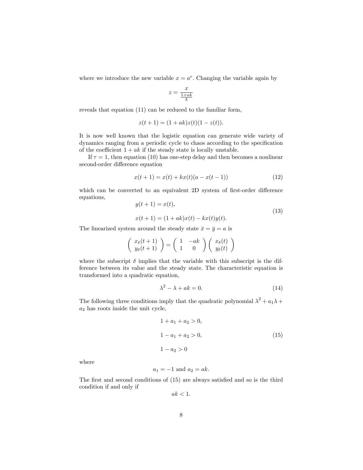where we introduce the new variable  $x = a^e$ . Changing the variable again by

$$
z=\frac{x}{\frac{1+ak}{k}}
$$

reveals that equation (11) can be reduced to the familiar form,

$$
z(t+1) = (1 + ak)z(t)(1 - z(t)).
$$

It is now well known that the logistic equation can generate wide variety of dynamics ranging from a periodic cycle to chaos according to the specification of the coefficient  $1 + ak$  if the steady state is locally unstable.

If  $\tau = 1$ , then equation (10) has one-step delay and then becomes a nonlinear second-order difference equation

$$
x(t+1) = x(t) + kx(t)(a - x(t-1))
$$
\n(12)

which can be converted to an equivalent 2D system of first-order difference equations,

$$
y(t+1) = x(t),
$$
  
\n
$$
x(t+1) = (1+ak)x(t) - kx(t)y(t).
$$
\n(13)

The linearized system around the steady state  $\bar{x} = \bar{y} = a$  is

$$
\left(\begin{array}{c} x_{\delta}(t+1) \\ y_{\delta}(t+1) \end{array}\right) = \left(\begin{array}{cc} 1 & -ak \\ 1 & 0 \end{array}\right) \left(\begin{array}{c} x_{\delta}(t) \\ y_{\delta}(t) \end{array}\right)
$$

where the subscript  $\delta$  implies that the variable with this subscript is the difference between its value and the steady state. The characteristic equation is transformed into a quadratic equation,

$$
\lambda^2 - \lambda + ak = 0. \tag{14}
$$

The following three conditions imply that the quadratic polynomial  $\lambda^2 + a_1 \lambda +$  $a_2$  has roots inside the unit cycle,

$$
1 + a_1 + a_2 > 0,
$$
  
\n
$$
1 - a_1 + a_2 > 0,
$$
  
\n
$$
1 - a_2 > 0
$$
\n(15)

where

$$
a_1 = -1 \text{ and } a_2 = ak.
$$

The first and second conditions of  $(15)$  are always satisfied and so is the third condition if and only if

$$
ak < 1.
$$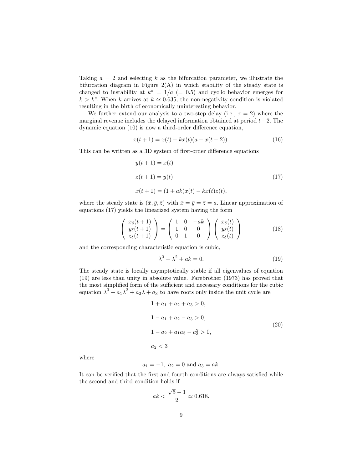Taking  $a = 2$  and selecting k as the bifurcation parameter, we illustrate the bifurcation diagram in Figure  $2(A)$  in which stability of the steady state is changed to instability at  $k^s = 1/a$  (= 0.5) and cyclic behavior emerges for  $k > k<sup>s</sup>$ . When k arrives at  $k \approx 0.635$ , the non-negativity condition is violated resulting in the birth of economically uninteresting behavior.

We further extend our analysis to a two-step delay (i.e.,  $\tau = 2$ ) where the marginal revenue includes the delayed information obtained at period  $t-2$ . The dynamic equation  $(10)$  is now a third-order difference equation,

$$
x(t+1) = x(t) + kx(t)(a - x(t-2)).
$$
\n(16)

This can be written as a 3D system of first-order difference equations

$$
y(t+1) = x(t)
$$
  
\n
$$
z(t+1) = y(t)
$$
  
\n
$$
x(t+1) = (1+ak)x(t) - kx(t)z(t),
$$
\n(17)

where the steady state is  $(\bar{x}, \bar{y}, \bar{z})$  with  $\bar{x} = \bar{y} = \bar{z} = a$ . Linear approximation of equations (17) yields the linearized system having the form

$$
\begin{pmatrix}\nx_\delta(t+1) \\
y_\delta(t+1) \\
z_\delta(t+1)\n\end{pmatrix} = \begin{pmatrix}\n1 & 0 & -ak \\
1 & 0 & 0 \\
0 & 1 & 0\n\end{pmatrix} \begin{pmatrix}\nx_\delta(t) \\
y_\delta(t) \\
z_\delta(t)\n\end{pmatrix}
$$
\n(18)

and the corresponding characteristic equation is cubic,

$$
\lambda^3 - \lambda^2 + ak = 0. \tag{19}
$$

The steady state is locally asymptotically stable if all eigenvalues of equation (19) are less than unity in absolute value. Farebrother (1973) has proved that the most simplified form of the sufficient and necessary conditions for the cubic equation  $\lambda^3 + a_1 \lambda^2 + a_2 \lambda + a_3$  to have roots only inside the unit cycle are

$$
1 + a_1 + a_2 + a_3 > 0,
$$
  
\n
$$
1 - a_1 + a_2 - a_3 > 0,
$$
  
\n
$$
1 - a_2 + a_1 a_3 - a_3^2 > 0,
$$
  
\n
$$
a_2 < 3
$$
\n(20)

where

$$
a_1 = -1
$$
,  $a_2 = 0$  and  $a_3 = ak$ .

It can be verified that the first and fourth conditions are always satisfied while the second and third condition holds if

$$
ak < \frac{\sqrt{5} - 1}{2} \simeq 0.618.
$$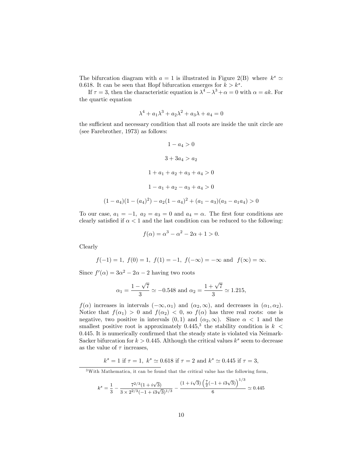The bifurcation diagram with  $a = 1$  is illustrated in Figure 2(B) where  $k^s \simeq$ 0.618. It can be seen that Hopf bifurcation emerges for  $k > k<sup>s</sup>$ .

If  $\tau = 3$ , then the characteristic equation is  $\lambda^4 - \lambda^3 + \alpha = 0$  with  $\alpha = ak$ . For the quartic equation

$$
\lambda^4 + a_1 \lambda^3 + a_2 \lambda^2 + a_3 \lambda + a_4 = 0
$$

the sufficient and necessary condition that all roots are inside the unit circle are (see Farebrother, 1973) as follows:

$$
1 - a_4 > 0
$$
  
\n
$$
3 + 3a_4 > a_2
$$
  
\n
$$
1 + a_1 + a_2 + a_3 + a_4 > 0
$$
  
\n
$$
1 - a_1 + a_2 - a_3 + a_4 > 0
$$
  
\n
$$
(1 - a_4)(1 - (a_4)^2) - a_2(1 - a_4)^2 + (a_1 - a_3)(a_3 - a_1a_4) > 0
$$

To our case,  $a_1 = -1$ ,  $a_2 = a_3 = 0$  and  $a_4 = \alpha$ . The first four conditions are clearly satisfied if  $\alpha < 1$  and the last condition can be reduced to the following:

$$
f(\alpha) = \alpha^3 - \alpha^2 - 2\alpha + 1 > 0.
$$

Clearly

$$
f(-1) = 1
$$
,  $f(0) = 1$ ,  $f(1) = -1$ ,  $f(-\infty) = -\infty$  and  $f(\infty) = \infty$ .

Since  $f'(\alpha) = 3\alpha^2 - 2\alpha - 2$  having two roots

$$
\alpha_1 = \frac{1 - \sqrt{7}}{3} \simeq -0.548
$$
 and  $\alpha_2 = \frac{1 + \sqrt{7}}{3} \simeq 1.215$ ,

 $f(\alpha)$  increases in intervals  $(-\infty, \alpha_1)$  and  $(\alpha_2, \infty)$ , and decreases in  $(\alpha_1, \alpha_2)$ . Notice that  $f(\alpha_1) > 0$  and  $f(\alpha_2) < 0$ , so  $f(\alpha)$  has three real roots: one is negative, two positive in intervals  $(0,1)$  and  $(\alpha_2,\infty)$ . Since  $\alpha < 1$  and the smallest positive root is approximately 0.445,<sup>3</sup> the stability condition is  $k <$ 0.445. It is numerically confirmed that the steady state is violated via Neimark-Sacker bifurcation for  $k > 0.445$ . Although the critical values  $k^s$  seem to decrease as the value of  $\tau$  increases,

$$
k^s = 1
$$
 if  $\tau = 1$ ,  $k^s \simeq 0.618$  if  $\tau = 2$  and  $k^s \simeq 0.445$  if  $\tau = 3$ ,

<sup>3</sup>With Mathematica, it can be found that the critical value has the following form,

$$
k^{s} = \frac{1}{3} - \frac{7^{2/3}(1 + i\sqrt{3})}{3 \times 2^{2/3}(-1 + i3\sqrt{3})^{1/3}} - \frac{(1 + i\sqrt{3})\left(\frac{7}{2}(-1 + i3\sqrt{3})\right)^{1/3}}{6} \simeq 0.445
$$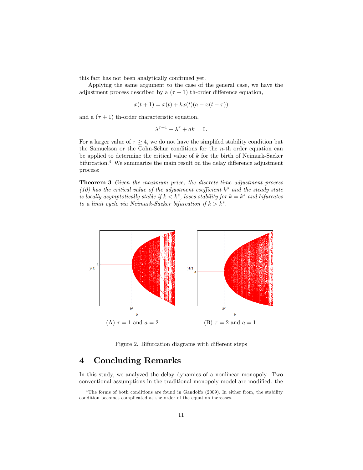this fact has not been analytically confirmed yet.

Applying the same argument to the case of the general case, we have the adjustment process described by a  $(\tau + 1)$  th-order difference equation,

$$
x(t + 1) = x(t) + kx(t)(a - x(t - \tau))
$$

and a  $(\tau + 1)$  th-order characteristic equation,

$$
\lambda^{\tau+1} - \lambda^{\tau} + ak = 0.
$$

For a larger value of  $\tau \geq 4$ , we do not have the simplifed stability condition but the Samuelson or the Cohn-Schur conditions for the n-th order equation can be applied to determine the critical value of  $k$  for the birth of Neimark-Sacker bifurcation.<sup>4</sup> We summarize the main result on the delay difference adjustment process:

Theorem 3 Given the maximum price, the discrete-time adjustment process (10) has the critical value of the adjustment coefficient  $k^s$  and the steady state is locally asymptotically stable if  $k < k^s$ , loses stability for  $k = k^s$  and bifurcates to a limit cycle via Neimark-Sacker bifurcation if  $k > k<sup>s</sup>$ .



Figure 2. Bifurcation diagrams with different steps

#### 4 Concluding Remarks

In this study, we analyzed the delay dynamics of a nonlinear monopoly. Two conventional assumptions in the traditional monopoly model are modified: the

<sup>&</sup>lt;sup>4</sup>The forms of both conditions are found in Gandolfo (2009). In either from, the stability condition becomes complicated as the order of the equation increases.